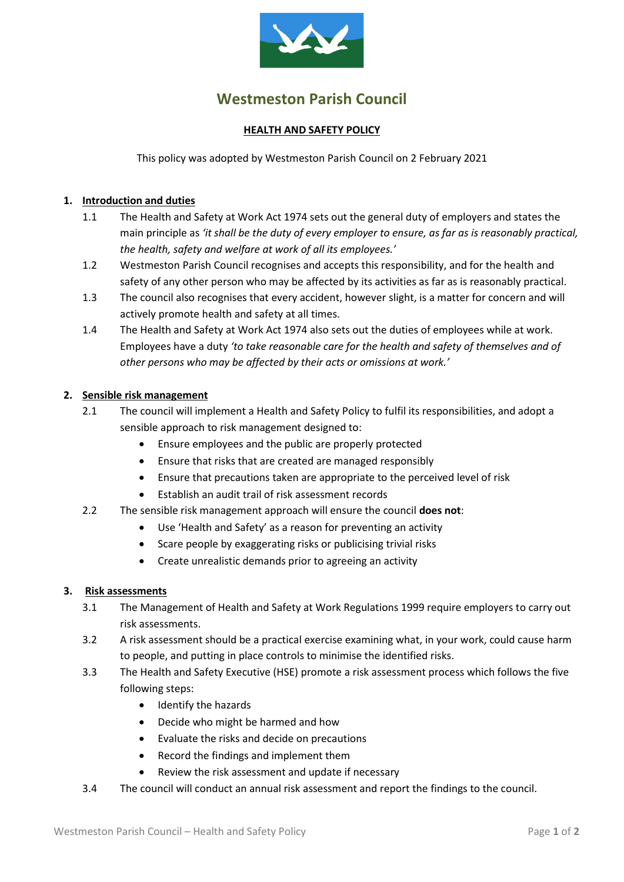

# **Westmeston Parish Council**

## **HEALTH AND SAFETY POLICY**

This policy was adopted by Westmeston Parish Council on 2 February 2021

## **1. Introduction and duties**

- 1.1 The Health and Safety at Work Act 1974 sets out the general duty of employers and states the main principle as *'it shall be the duty of every employer to ensure, as far as is reasonably practical, the health, safety and welfare at work of all its employees.'*
- 1.2 Westmeston Parish Council recognises and accepts this responsibility, and for the health and safety of any other person who may be affected by its activities as far as is reasonably practical.
- 1.3 The council also recognises that every accident, however slight, is a matter for concern and will actively promote health and safety at all times.
- 1.4 The Health and Safety at Work Act 1974 also sets out the duties of employees while at work. Employees have a duty *'to take reasonable care for the health and safety of themselves and of other persons who may be affected by their acts or omissions at work.'*

#### **2. Sensible risk management**

- 2.1 The council will implement a Health and Safety Policy to fulfil its responsibilities, and adopt a sensible approach to risk management designed to:
	- Ensure employees and the public are properly protected
	- Ensure that risks that are created are managed responsibly
	- Ensure that precautions taken are appropriate to the perceived level of risk
	- Establish an audit trail of risk assessment records
- 2.2 The sensible risk management approach will ensure the council **does not**:
	- Use 'Health and Safety' as a reason for preventing an activity
	- Scare people by exaggerating risks or publicising trivial risks
	- Create unrealistic demands prior to agreeing an activity

#### **3. Risk assessments**

- 3.1 The Management of Health and Safety at Work Regulations 1999 require employers to carry out risk assessments.
- 3.2 A risk assessment should be a practical exercise examining what, in your work, could cause harm to people, and putting in place controls to minimise the identified risks.
- 3.3 The Health and Safety Executive (HSE) promote a risk assessment process which follows the five following steps:
	- Identify the hazards
	- Decide who might be harmed and how
	- Evaluate the risks and decide on precautions
	- Record the findings and implement them
	- Review the risk assessment and update if necessary
- 3.4 The council will conduct an annual risk assessment and report the findings to the council.